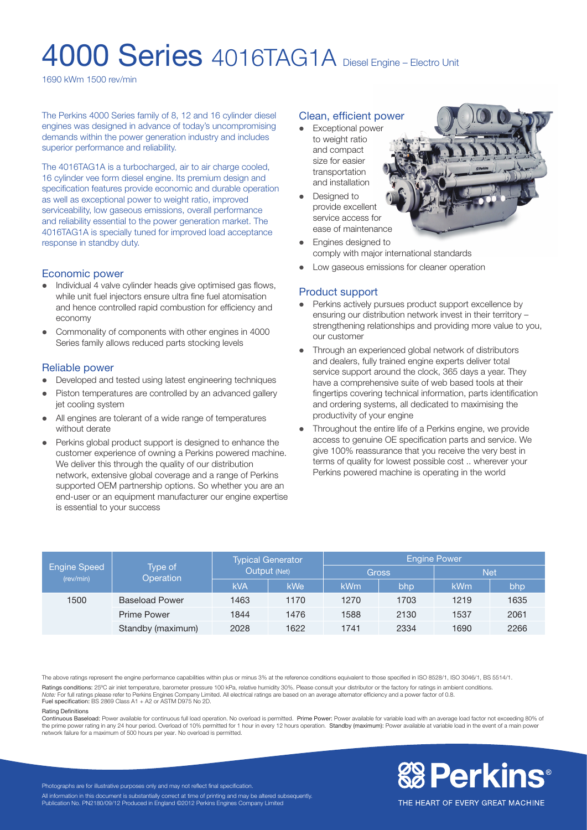# 4000 Series 4016TAG1A Diesel Engine – Electro Unit

1690 kWm 1500 rev/min

The Perkins 4000 Series family of 8, 12 and 16 cylinder diesel engines was designed in advance of today's uncompromising demands within the power generation industry and includes superior performance and reliability.

The 4016TAG1A is a turbocharged, air to air charge cooled, 16 cylinder vee form diesel engine. Its premium design and specification features provide economic and durable operation as well as exceptional power to weight ratio, improved serviceability, low gaseous emissions, overall performance and reliability essential to the power generation market. The 4016TAG1A is specially tuned for improved load acceptance response in standby duty.

#### Economic power

- l Individual 4 valve cylinder heads give optimised gas flows, while unit fuel injectors ensure ultra fine fuel atomisation and hence controlled rapid combustion for efficiency and economy
- l Commonality of components with other engines in 4000 Series family allows reduced parts stocking levels

#### Reliable power

- Developed and tested using latest engineering techniques
- Piston temperatures are controlled by an advanced gallery jet cooling system
- All engines are tolerant of a wide range of temperatures without derate
- Perkins global product support is designed to enhance the customer experience of owning a Perkins powered machine. We deliver this through the quality of our distribution network, extensive global coverage and a range of Perkins supported OEM partnership options. So whether you are an end-user or an equipment manufacturer our engine expertise is essential to your success

# Clean, efficient power

- **Exceptional power** to weight ratio and compact size for easier transportation and installation
- Designed to provide excellent service access for ease of maintenance



Engines designed to comply with major international standards

l Low gaseous emissions for cleaner operation

# Product support

- Perkins actively pursues product support excellence by ensuring our distribution network invest in their territory – strengthening relationships and providing more value to you, our customer
- Through an experienced global network of distributors and dealers, fully trained engine experts deliver total service support around the clock, 365 days a year. They have a comprehensive suite of web based tools at their fingertips covering technical information, parts identification and ordering systems, all dedicated to maximising the productivity of your engine
- Throughout the entire life of a Perkins engine, we provide access to genuine OE specification parts and service. We give 100% reassurance that you receive the very best in terms of quality for lowest possible cost .. wherever your Perkins powered machine is operating in the world

| <b>Engine Speed</b><br>(rev/min) | Type of<br>Operation  | <b>Typical Generator</b><br>Output (Net) |      | <b>Engine Power</b> |      |            |      |
|----------------------------------|-----------------------|------------------------------------------|------|---------------------|------|------------|------|
|                                  |                       |                                          |      | <b>Gross</b>        |      | <b>Net</b> |      |
|                                  |                       | <b>kVA</b>                               | kWe' | kWm                 | bhp  | kWm        | bhp  |
| 1500                             | <b>Baseload Power</b> | 1463                                     | 1170 | 1270                | 1703 | 1219       | 1635 |
|                                  | <b>Prime Power</b>    | 1844                                     | 1476 | 1588                | 2130 | 1537       | 2061 |
|                                  | Standby (maximum)     | 2028                                     | 1622 | 1741                | 2334 | 1690       | 2266 |

The above ratings represent the engine performance capabilities within plus or minus 3% at the reference conditions equivalent to those specified in ISO 8528/1, ISO 3046/1, BS 5514/1. Ratings conditions: 25ºC air inlet temperature, barometer pressure 100 kPa, relative humidity 30%. Please consult your distributor or the factory for ratings in ambient conditions. *Note:* For full ratings please refer to Perkins Engines Company Limited. All electrical ratings are based on an average alternator efficiency and a power factor of 0.8. Fuel specification: BS 2869 Class A1 + A2 or ASTM D975 No 2D.

#### Rating Definitions

Continuous Baseload: Power available for continuous full load operation. No overload is permitted. Prime Power: Power available for variable load with an average load factor not exceeding 80% of the prime power rating in any 24 hour period. Overload of 10% permitted for 1 hour in every 12 hours operation. Standby (maximum): Power available at variable load in the event of a main power network failure for a maximum of 500 hours per year. No overload is permitted.



Photographs are for illustrative purposes only and may not reflect final specification. All information in this document is substantially correct at time of printing and may be altered subsequently Publication No. PN2180/09/12 Produced in England ©2012 Perkins Engines Company Limited